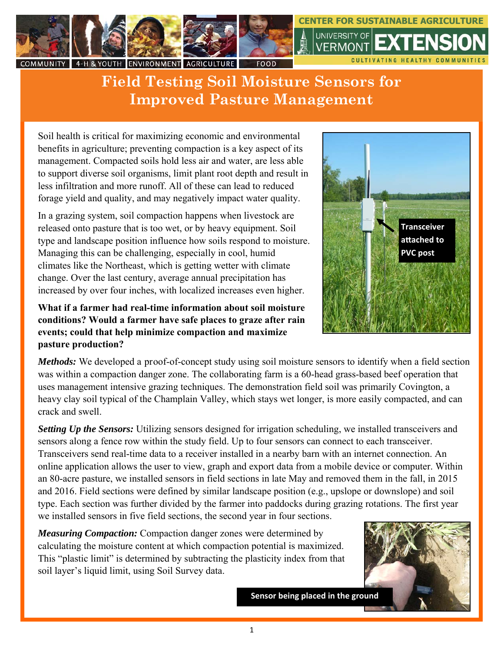

## **Field Testing Soil Moisture Sensors for Improved Pasture Management**

Soil health is critical for maximizing economic and environmental benefits in agriculture; preventing compaction is a key aspect of its management. Compacted soils hold less air and water, are less able to support diverse soil organisms, limit plant root depth and result in less infiltration and more runoff. All of these can lead to reduced forage yield and quality, and may negatively impact water quality.

In a grazing system, soil compaction happens when livestock are released onto pasture that is too wet, or by heavy equipment. Soil type and landscape position influence how soils respond to moisture. Managing this can be challenging, especially in cool, humid climates like the Northeast, which is getting wetter with climate change. Over the last century, average annual precipitation has increased by over four inches, with localized increases even higher.

## **What if a farmer had real-time information about soil moisture conditions? Would a farmer have safe places to graze after rain events; could that help minimize compaction and maximize pasture production?**

*Methods:* We developed a proof-of-concept study using soil moisture sensors to identify when a field section was within a compaction danger zone. The collaborating farm is a 60-head grass-based beef operation that uses management intensive grazing techniques. The demonstration field soil was primarily Covington, a heavy clay soil typical of the Champlain Valley, which stays wet longer, is more easily compacted, and can crack and swell.

*Setting Up the Sensors:* Utilizing sensors designed for irrigation scheduling, we installed transceivers and sensors along a fence row within the study field. Up to four sensors can connect to each transceiver. Transceivers send real-time data to a receiver installed in a nearby barn with an internet connection. An online application allows the user to view, graph and export data from a mobile device or computer. Within an 80-acre pasture, we installed sensors in field sections in late May and removed them in the fall, in 2015 and 2016. Field sections were defined by similar landscape position (e.g., upslope or downslope) and soil type. Each section was further divided by the farmer into paddocks during grazing rotations. The first year we installed sensors in five field sections, the second year in four sections.

*Measuring Compaction:* Compaction danger zones were determined by calculating the moisture content at which compaction potential is maximized. This "plastic limit" is determined by subtracting the plasticity index from that soil layer's liquid limit, using Soil Survey data.

**Sensor being placed in the ground**